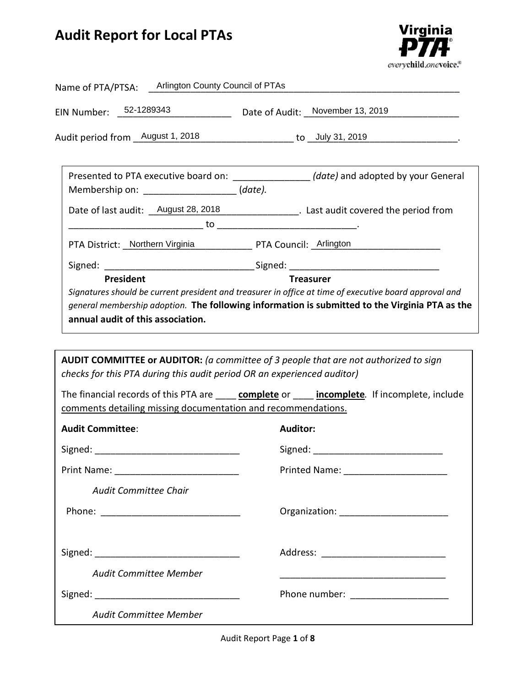# **Audit Report for Local PTAs**



| Name of PTA/PTSA: Arlington County Council of PTAs                                                                                                                                                                             |                                                                                                                                                                                                                                                                                                         |
|--------------------------------------------------------------------------------------------------------------------------------------------------------------------------------------------------------------------------------|---------------------------------------------------------------------------------------------------------------------------------------------------------------------------------------------------------------------------------------------------------------------------------------------------------|
| EIN Number: 52-1289343                                                                                                                                                                                                         | Date of Audit: November 13, 2019                                                                                                                                                                                                                                                                        |
|                                                                                                                                                                                                                                | Audit period from <u>August 1, 2018 [11]</u> https://www.jougustage.com/industry-community-community-community-commun                                                                                                                                                                                   |
| Membership on: ____________________(date).                                                                                                                                                                                     | Presented to PTA executive board on: __________________(date) and adopted by your General                                                                                                                                                                                                               |
|                                                                                                                                                                                                                                | Date of last audit: <u>August 28, 2018</u> __________________. Last audit covered the period from                                                                                                                                                                                                       |
| PTA District: Northern Virginia PTA Council: Arlington                                                                                                                                                                         |                                                                                                                                                                                                                                                                                                         |
|                                                                                                                                                                                                                                |                                                                                                                                                                                                                                                                                                         |
| annual audit of this association.<br>checks for this PTA during this audit period OR an experienced auditor)                                                                                                                   | Signatures should be current president and treasurer in office at time of executive board approval and<br>general membership adoption. The following information is submitted to the Virginia PTA as the<br><b>AUDIT COMMITTEE or AUDITOR:</b> (a committee of 3 people that are not authorized to sign |
| comments detailing missing documentation and recommendations.                                                                                                                                                                  | The financial records of this PTA are _____ complete or ____ incomplete. If incomplete, include                                                                                                                                                                                                         |
| <b>Audit Committee:</b>                                                                                                                                                                                                        | <b>Auditor:</b>                                                                                                                                                                                                                                                                                         |
| Signed: the contract of the contract of the contract of the contract of the contract of the contract of the contract of the contract of the contract of the contract of the contract of the contract of the contract of the co | Signed:                                                                                                                                                                                                                                                                                                 |
|                                                                                                                                                                                                                                |                                                                                                                                                                                                                                                                                                         |
| <b>Audit Committee Chair</b>                                                                                                                                                                                                   |                                                                                                                                                                                                                                                                                                         |
|                                                                                                                                                                                                                                |                                                                                                                                                                                                                                                                                                         |
|                                                                                                                                                                                                                                | Address: ____________________________                                                                                                                                                                                                                                                                   |
| <b>Audit Committee Member</b>                                                                                                                                                                                                  |                                                                                                                                                                                                                                                                                                         |
|                                                                                                                                                                                                                                | Phone number: _____________________                                                                                                                                                                                                                                                                     |
| Audit Committee Member                                                                                                                                                                                                         |                                                                                                                                                                                                                                                                                                         |

Audit Report Page **1** of **8**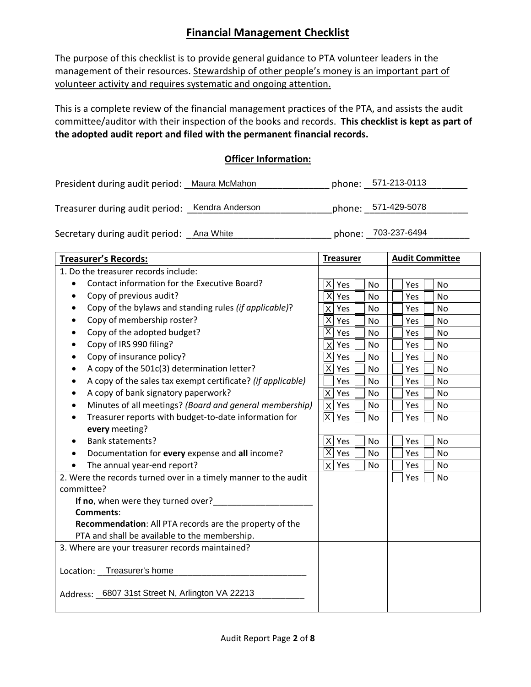## **Financial Management Checklist**

The purpose of this checklist is to provide general guidance to PTA volunteer leaders in the management of their resources. Stewardship of other people's money is an important part of volunteer activity and requires systematic and ongoing attention.

This is a complete review of the financial management practices of the PTA, and assists the audit committee/auditor with their inspection of the books and records. **This checklist is kept as part of the adopted audit report and filed with the permanent financial records.** 

### **Officer Information:**

| President during audit period: Maura McMahon |                 | phone: 571-213-0113 |
|----------------------------------------------|-----------------|---------------------|
| Treasurer during audit period:               | Kendra Anderson | phone: 571-429-5078 |
| Secretary during audit period: Ana White     |                 | phone: 703-237-6494 |

| <b>Treasurer's Records:</b>                                        | <b>Treasurer</b>                     | <b>Audit Committee</b> |
|--------------------------------------------------------------------|--------------------------------------|------------------------|
| 1. Do the treasurer records include:                               |                                      |                        |
| Contact information for the Executive Board?<br>$\bullet$          | $\vert X \vert$<br>Yes<br>No         | Yes<br><b>No</b>       |
| Copy of previous audit?                                            | X<br>Yes<br><b>No</b>                | Yes<br><b>No</b>       |
| Copy of the bylaws and standing rules (if applicable)?             | x <sub>l</sub><br>Yes<br>No          | Yes<br>No              |
| Copy of membership roster?                                         | $ \mathsf{X} $ Yes<br>No             | Yes<br>No              |
| Copy of the adopted budget?<br>$\bullet$                           | $\overline{\mathsf{x}}$<br>Yes<br>No | Yes<br>No              |
| Copy of IRS 990 filing?<br>$\bullet$                               | $X$ Yes<br>No                        | No<br>Yes              |
| Copy of insurance policy?<br>$\bullet$                             | $ \overline{X} $ Yes<br>No           | Yes<br>No              |
| A copy of the 501c(3) determination letter?                        | $X$ Yes<br>No                        | No<br>Yes              |
| A copy of the sales tax exempt certificate? (if applicable)        | Yes<br>No                            | Yes<br>No              |
| A copy of bank signatory paperwork?<br>٠                           | $ X $ Yes<br>No                      | No<br>Yes              |
| Minutes of all meetings? (Board and general membership)<br>٠       | X   Yes<br>No                        | Yes<br><b>No</b>       |
| Treasurer reports with budget-to-date information for<br>$\bullet$ | $ X $ Yes<br>No                      | Yes<br>No              |
| every meeting?                                                     |                                      |                        |
| <b>Bank statements?</b><br>$\bullet$                               | $X$ Yes<br>No                        | Yes<br>No              |
| Documentation for every expense and all income?<br>٠               | $ \overline{X} $ Yes<br>No           | Yes<br>No              |
| The annual year-end report?<br>$\bullet$                           | X   Yes<br>No                        | Yes<br><b>No</b>       |
| 2. Were the records turned over in a timely manner to the audit    |                                      | No<br>Yes              |
| committee?                                                         |                                      |                        |
| If no, when were they turned over?                                 |                                      |                        |
| <b>Comments:</b>                                                   |                                      |                        |
| Recommendation: All PTA records are the property of the            |                                      |                        |
| PTA and shall be available to the membership.                      |                                      |                        |
| 3. Where are your treasurer records maintained?                    |                                      |                        |
| Location: Treasurer's home                                         |                                      |                        |
| Address: 6807 31st Street N, Arlington VA 22213                    |                                      |                        |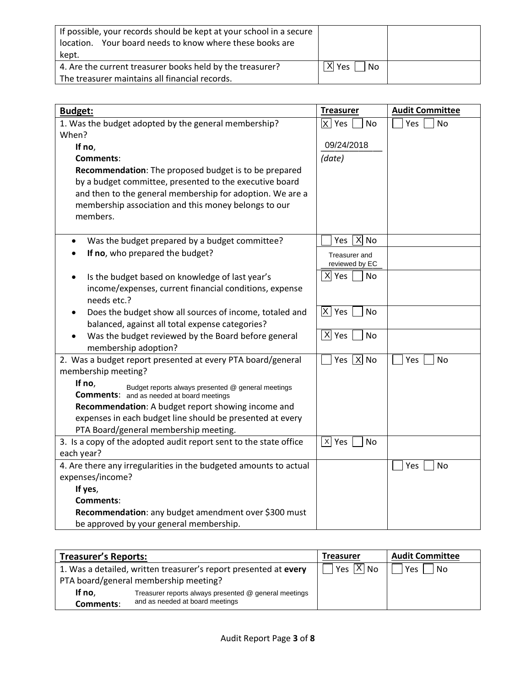| If possible, your records should be kept at your school in a secure<br>location. Your board needs to know where these books are<br>kept. |                                  |  |
|------------------------------------------------------------------------------------------------------------------------------------------|----------------------------------|--|
| 4. Are the current treasurer books held by the treasurer?                                                                                | $ \overline{X} $ Yes $ $<br>l No |  |
| The treasurer maintains all financial records.                                                                                           |                                  |  |

| <b>Budget:</b>                                                                                                   | <b>Treasurer</b>                  | <b>Audit Committee</b> |
|------------------------------------------------------------------------------------------------------------------|-----------------------------------|------------------------|
| 1. Was the budget adopted by the general membership?                                                             | $ X $ Yes<br>No                   | Yes<br>No              |
| When?                                                                                                            |                                   |                        |
| If no,                                                                                                           | 09/24/2018                        |                        |
| Comments:                                                                                                        | (date)                            |                        |
| Recommendation: The proposed budget is to be prepared<br>by a budget committee, presented to the executive board |                                   |                        |
| and then to the general membership for adoption. We are a                                                        |                                   |                        |
| membership association and this money belongs to our                                                             |                                   |                        |
| members.                                                                                                         |                                   |                        |
|                                                                                                                  |                                   |                        |
| Was the budget prepared by a budget committee?                                                                   | $X$ No<br>Yes                     |                        |
| If no, who prepared the budget?                                                                                  | Treasurer and                     |                        |
|                                                                                                                  | reviewed by EC                    |                        |
| Is the budget based on knowledge of last year's<br>$\bullet$                                                     | $X$ Yes<br>No                     |                        |
| income/expenses, current financial conditions, expense<br>needs etc.?                                            |                                   |                        |
| Does the budget show all sources of income, totaled and                                                          | $ X $ Yes<br>No                   |                        |
| balanced, against all total expense categories?                                                                  |                                   |                        |
| Was the budget reviewed by the Board before general<br>membership adoption?                                      | $ \overline{X} $ Yes<br><b>No</b> |                        |
| 2. Was a budget report presented at every PTA board/general                                                      | Yes $ X $ No                      | Yes<br>No              |
| membership meeting?                                                                                              |                                   |                        |
| If no,<br>Budget reports always presented @ general meetings<br><b>Comments:</b> and as needed at board meetings |                                   |                        |
| Recommendation: A budget report showing income and                                                               |                                   |                        |
| expenses in each budget line should be presented at every                                                        |                                   |                        |
| PTA Board/general membership meeting.                                                                            |                                   |                        |
| 3. Is a copy of the adopted audit report sent to the state office                                                | X Yes<br>No                       |                        |
| each year?                                                                                                       |                                   |                        |
| 4. Are there any irregularities in the budgeted amounts to actual                                                |                                   | Yes<br>No              |
| expenses/income?                                                                                                 |                                   |                        |
| If yes,                                                                                                          |                                   |                        |
| Comments:                                                                                                        |                                   |                        |
| Recommendation: any budget amendment over \$300 must                                                             |                                   |                        |
| be approved by your general membership.                                                                          |                                   |                        |

| <b>Treasurer's Reports:</b> |                                                                  | <b>Treasurer</b>      | <b>Audit Committee</b> |
|-----------------------------|------------------------------------------------------------------|-----------------------|------------------------|
|                             | 1. Was a detailed, written treasurer's report presented at every | Yes $\overline{X}$ No | Yes<br>No              |
|                             | PTA board/general membership meeting?                            |                       |                        |
| If no.                      | Treasurer reports always presented @ general meetings            |                       |                        |
| Comments:                   | and as needed at board meetings                                  |                       |                        |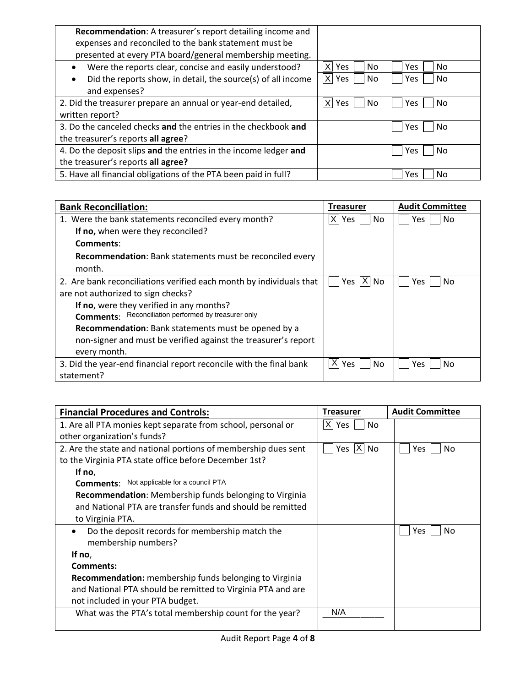| Recommendation: A treasurer's report detailing income and                 |                          |            |
|---------------------------------------------------------------------------|--------------------------|------------|
| expenses and reconciled to the bank statement must be                     |                          |            |
| presented at every PTA board/general membership meeting.                  |                          |            |
| Were the reports clear, concise and easily understood?                    | No.<br><b>Yes</b>        | Yes<br>No. |
| Did the reports show, in detail, the source(s) of all income<br>$\bullet$ | $ X $ Yes<br>No.         | Yes<br>No. |
| and expenses?                                                             |                          |            |
| 2. Did the treasurer prepare an annual or year-end detailed,              | $\times$<br>No.<br>l Yes | Yes.<br>No |
| written report?                                                           |                          |            |
| 3. Do the canceled checks and the entries in the checkbook and            |                          | No<br>Yes  |
| the treasurer's reports all agree?                                        |                          |            |
| 4. Do the deposit slips and the entries in the income ledger and          |                          | Yes<br>No  |
| the treasurer's reports all agree?                                        |                          |            |
| 5. Have all financial obligations of the PTA been paid in full?           |                          | No<br>Yes  |

| <b>Bank Reconciliation:</b>                                         | <b>Treasurer</b> | <b>Audit Committee</b> |
|---------------------------------------------------------------------|------------------|------------------------|
| 1. Were the bank statements reconciled every month?                 | $ X $ Yes<br>No  | No<br>Yes              |
| If no, when were they reconciled?                                   |                  |                        |
| Comments:                                                           |                  |                        |
| Recommendation: Bank statements must be reconciled every            |                  |                        |
| month.                                                              |                  |                        |
| 2. Are bank reconciliations verified each month by individuals that | Yes   X   No     | No<br>Yes.             |
| are not authorized to sign checks?                                  |                  |                        |
| If no, were they verified in any months?                            |                  |                        |
| <b>Comments:</b> Reconciliation performed by treasurer only         |                  |                        |
| Recommendation: Bank statements must be opened by a                 |                  |                        |
| non-signer and must be verified against the treasurer's report      |                  |                        |
| every month.                                                        |                  |                        |
| 3. Did the year-end financial report reconcile with the final bank  | XI<br>Yes<br>No  | No<br>Yes.             |
| statement?                                                          |                  |                        |

| <b>Financial Procedures and Controls:</b>                      | <b>Treasurer</b> | <b>Audit Committee</b> |
|----------------------------------------------------------------|------------------|------------------------|
| 1. Are all PTA monies kept separate from school, personal or   | $ X $ Yes<br>No  |                        |
| other organization's funds?                                    |                  |                        |
| 2. Are the state and national portions of membership dues sent | Yes $ X $ No     | No<br><b>Yes</b>       |
| to the Virginia PTA state office before December 1st?          |                  |                        |
| If no,                                                         |                  |                        |
| <b>Comments:</b> Not applicable for a council PTA              |                  |                        |
| <b>Recommendation:</b> Membership funds belonging to Virginia  |                  |                        |
| and National PTA are transfer funds and should be remitted     |                  |                        |
| to Virginia PTA.                                               |                  |                        |
| Do the deposit records for membership match the                |                  | No<br>Yes              |
| membership numbers?                                            |                  |                        |
| If no,                                                         |                  |                        |
| Comments:                                                      |                  |                        |
| <b>Recommendation:</b> membership funds belonging to Virginia  |                  |                        |
| and National PTA should be remitted to Virginia PTA and are    |                  |                        |
| not included in your PTA budget.                               |                  |                        |
| What was the PTA's total membership count for the year?        | N/A              |                        |
|                                                                |                  |                        |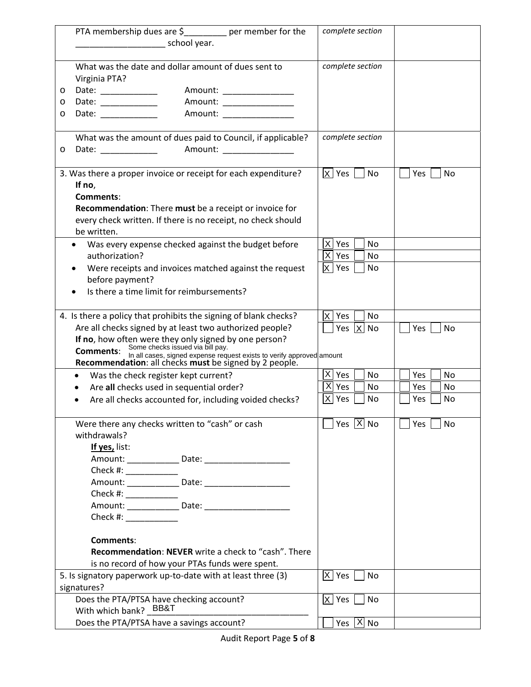| PTA membership dues are $\frac{2}{3}$ per member for the                                                                                                | complete section                |                         |
|---------------------------------------------------------------------------------------------------------------------------------------------------------|---------------------------------|-------------------------|
| school year.                                                                                                                                            |                                 |                         |
|                                                                                                                                                         |                                 |                         |
| What was the date and dollar amount of dues sent to                                                                                                     | complete section                |                         |
| Virginia PTA?                                                                                                                                           |                                 |                         |
| Date: ___________<br>Amount: ________________<br>$\circ$                                                                                                |                                 |                         |
| Amount: ________________<br>Date: ___________<br>O                                                                                                      |                                 |                         |
| Date: ___________<br>Amount: ________________<br>O                                                                                                      |                                 |                         |
| What was the amount of dues paid to Council, if applicable?                                                                                             | complete section                |                         |
| Amount: ________________<br>Date: _____________<br>O                                                                                                    |                                 |                         |
|                                                                                                                                                         |                                 |                         |
| 3. Was there a proper invoice or receipt for each expenditure?                                                                                          | $ X $ Yes<br>No                 | Yes<br>No               |
| If no,                                                                                                                                                  |                                 |                         |
| Comments:                                                                                                                                               |                                 |                         |
| Recommendation: There must be a receipt or invoice for                                                                                                  |                                 |                         |
| every check written. If there is no receipt, no check should                                                                                            |                                 |                         |
| be written.                                                                                                                                             |                                 |                         |
| Was every expense checked against the budget before                                                                                                     | $ X $ Yes<br>No                 |                         |
| authorization?                                                                                                                                          | $ \overline{X} $ Yes<br>No      |                         |
| Were receipts and invoices matched against the request                                                                                                  | $ X $ Yes<br><b>No</b>          |                         |
| before payment?                                                                                                                                         |                                 |                         |
| Is there a time limit for reimbursements?                                                                                                               |                                 |                         |
|                                                                                                                                                         |                                 |                         |
| 4. Is there a policy that prohibits the signing of blank checks?                                                                                        | Yes<br><b>No</b><br>IX I        |                         |
| Are all checks signed by at least two authorized people?                                                                                                | Yes $ X $ No                    | Yes<br>No               |
| If no, how often were they only signed by one person?<br>Commonts: Some checks issued via bill pay.                                                     |                                 |                         |
| <b>Comments:</b>                                                                                                                                        |                                 |                         |
| <b>Comments:</b> In all cases, signed expense request exists to verify approved amount<br><b>Recommendation:</b> all checks must be signed by 2 people. |                                 |                         |
| Was the check register kept current?<br>$\bullet$                                                                                                       | $ \mathsf{X} $ Yes<br><b>No</b> | Yes<br><b>No</b>        |
| Are all checks used in sequential order?                                                                                                                | $\overline{X}$ Yes<br>No        | Yes<br>No               |
| Are all checks accounted for, including voided checks?                                                                                                  | $X$ Yes<br>No                   | Yes<br>No               |
|                                                                                                                                                         |                                 |                         |
| Were there any checks written to "cash" or cash                                                                                                         | Yes $X$ No                      | <b>No</b><br><b>Yes</b> |
| withdrawals?                                                                                                                                            |                                 |                         |
| If yes, list:                                                                                                                                           |                                 |                         |
|                                                                                                                                                         |                                 |                         |
| Check #: _____________                                                                                                                                  |                                 |                         |
|                                                                                                                                                         |                                 |                         |
| Check #: ___________                                                                                                                                    |                                 |                         |
| Amount: _________ Date: ___                                                                                                                             |                                 |                         |
| Check #: ___________                                                                                                                                    |                                 |                         |
|                                                                                                                                                         |                                 |                         |
| Comments:                                                                                                                                               |                                 |                         |
| <b>Recommendation: NEVER</b> write a check to "cash". There                                                                                             |                                 |                         |
| is no record of how your PTAs funds were spent.                                                                                                         |                                 |                         |
| 5. Is signatory paperwork up-to-date with at least three (3)                                                                                            | $ X $ Yes<br>No                 |                         |
| signatures?                                                                                                                                             |                                 |                         |
| Does the PTA/PTSA have checking account?                                                                                                                | $ X $ Yes<br>No                 |                         |
| With which bank? BB&T                                                                                                                                   |                                 |                         |
| Does the PTA/PTSA have a savings account?                                                                                                               | Yes $ X $ No                    |                         |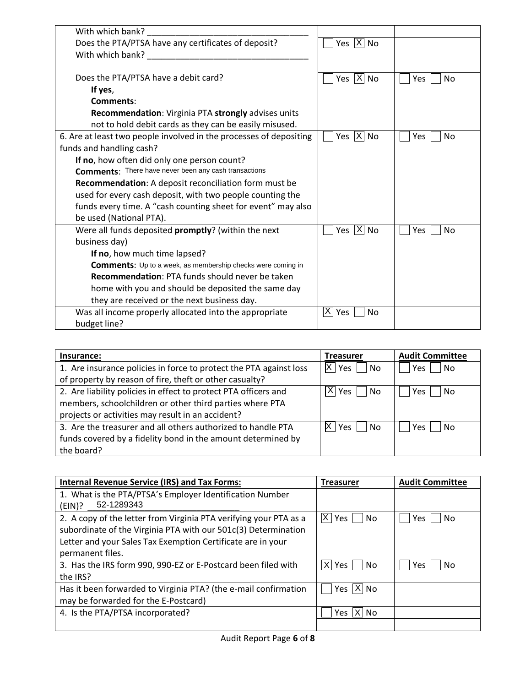| With which bank?                                                                                                                                                                                                              |                         |                  |
|-------------------------------------------------------------------------------------------------------------------------------------------------------------------------------------------------------------------------------|-------------------------|------------------|
| Does the PTA/PTSA have any certificates of deposit?                                                                                                                                                                           | Yes $ X $ No            |                  |
| With which bank? Nine and the same of the same of the same of the same of the same of the same of the same of the same of the same of the same of the same of the same of the same of the same of the same of the same of the |                         |                  |
|                                                                                                                                                                                                                               |                         |                  |
| Does the PTA/PTSA have a debit card?                                                                                                                                                                                          | Yes $ \overline{X} $ No | Yes<br>No        |
| If yes,                                                                                                                                                                                                                       |                         |                  |
| Comments:                                                                                                                                                                                                                     |                         |                  |
| Recommendation: Virginia PTA strongly advises units                                                                                                                                                                           |                         |                  |
| not to hold debit cards as they can be easily misused.                                                                                                                                                                        |                         |                  |
| 6. Are at least two people involved in the processes of depositing                                                                                                                                                            | Yes $ X $ No            | <b>No</b><br>Yes |
| funds and handling cash?                                                                                                                                                                                                      |                         |                  |
| If no, how often did only one person count?                                                                                                                                                                                   |                         |                  |
| <b>Comments:</b> There have never been any cash transactions                                                                                                                                                                  |                         |                  |
| Recommendation: A deposit reconciliation form must be                                                                                                                                                                         |                         |                  |
| used for every cash deposit, with two people counting the                                                                                                                                                                     |                         |                  |
| funds every time. A "cash counting sheet for event" may also                                                                                                                                                                  |                         |                  |
| be used (National PTA).                                                                                                                                                                                                       |                         |                  |
| Were all funds deposited promptly? (within the next                                                                                                                                                                           | Yes $ \overline{X} $ No | Yes<br>No        |
| business day)                                                                                                                                                                                                                 |                         |                  |
| If no, how much time lapsed?                                                                                                                                                                                                  |                         |                  |
| <b>Comments:</b> Up to a week, as membership checks were coming in                                                                                                                                                            |                         |                  |
| Recommendation: PTA funds should never be taken                                                                                                                                                                               |                         |                  |
| home with you and should be deposited the same day                                                                                                                                                                            |                         |                  |
| they are received or the next business day.                                                                                                                                                                                   |                         |                  |
| Was all income properly allocated into the appropriate                                                                                                                                                                        | $X \mid Y$ es<br>No     |                  |
| budget line?                                                                                                                                                                                                                  |                         |                  |

| Insurance:                                                         | <b>Treasurer</b>  | <b>Audit Committee</b> |
|--------------------------------------------------------------------|-------------------|------------------------|
| 1. Are insurance policies in force to protect the PTA against loss | X <br>i Yes<br>No | No<br>Yes              |
| of property by reason of fire, theft or other casualty?            |                   |                        |
| 2. Are liability policies in effect to protect PTA officers and    | X <br>Yes<br>No   | Yes<br>No.             |
| members, schoolchildren or other third parties where PTA           |                   |                        |
| projects or activities may result in an accident?                  |                   |                        |
| 3. Are the treasurer and all others authorized to handle PTA       | X<br>ا Yes<br>No  | No<br>Yes              |
| funds covered by a fidelity bond in the amount determined by       |                   |                        |
| the board?                                                         |                   |                        |

| <b>Internal Revenue Service (IRS) and Tax Forms:</b>              | <b>Treasurer</b>         | <b>Audit Committee</b> |
|-------------------------------------------------------------------|--------------------------|------------------------|
| 1. What is the PTA/PTSA's Employer Identification Number          |                          |                        |
| 52-1289343<br>(EIN)?                                              |                          |                        |
| 2. A copy of the letter from Virginia PTA verifying your PTA as a | IX I<br>No<br>Yes        | No.<br>Yes.            |
| subordinate of the Virginia PTA with our 501c(3) Determination    |                          |                        |
| Letter and your Sales Tax Exemption Certificate are in your       |                          |                        |
| permanent files.                                                  |                          |                        |
| 3. Has the IRS form 990, 990-EZ or E-Postcard been filed with     | X.<br>No.<br>Yes         | No.<br>Yes             |
| the IRS?                                                          |                          |                        |
| Has it been forwarded to Virginia PTA? (the e-mail confirmation   | $ \mathsf{X} $ No<br>Yes |                        |
| may be forwarded for the E-Postcard)                              |                          |                        |
| 4. Is the PTA/PTSA incorporated?                                  | X.<br>Yes<br>No.         |                        |
|                                                                   |                          |                        |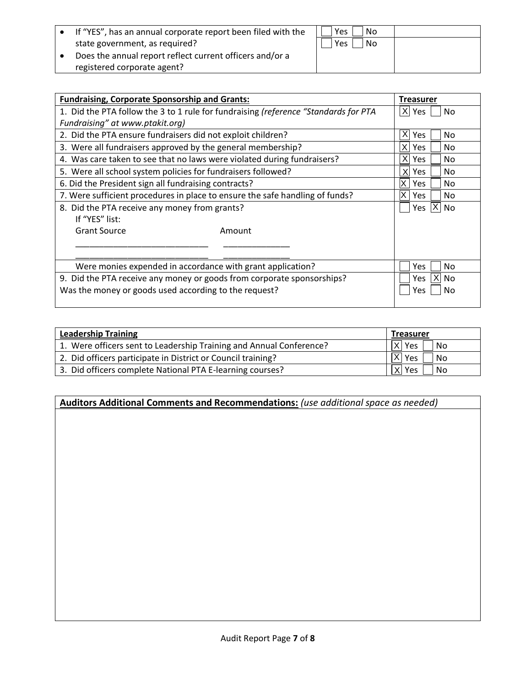| • If "YES", has an annual corporate report been filed with the | Yes<br>No          |  |
|----------------------------------------------------------------|--------------------|--|
| state government, as required?                                 | <b>Yes</b><br>l No |  |
| Does the annual report reflect current officers and/or a       |                    |  |
| registered corporate agent?                                    |                    |  |

| <b>Fundraising, Corporate Sponsorship and Grants:</b>                        |                                                                                     | <b>Treasurer</b>                    |
|------------------------------------------------------------------------------|-------------------------------------------------------------------------------------|-------------------------------------|
|                                                                              | 1. Did the PTA follow the 3 to 1 rule for fundraising (reference "Standards for PTA | X Yes<br>No                         |
| Fundraising" at www.ptakit.org)                                              |                                                                                     |                                     |
| 2. Did the PTA ensure fundraisers did not exploit children?                  |                                                                                     | X<br><b>Yes</b><br>No               |
| 3. Were all fundraisers approved by the general membership?                  |                                                                                     | ΧI<br>Yes.<br>No                    |
| 4. Was care taken to see that no laws were violated during fundraisers?      |                                                                                     | x <sub>l</sub><br><b>Yes</b><br>No. |
| 5. Were all school system policies for fundraisers followed?                 |                                                                                     | X<br><b>Yes</b><br>No.              |
| 6. Did the President sign all fundraising contracts?                         |                                                                                     | X<br><b>Yes</b><br>No               |
| 7. Were sufficient procedures in place to ensure the safe handling of funds? |                                                                                     | X<br>No<br>Yes.                     |
| 8. Did the PTA receive any money from grants?                                |                                                                                     | ΧI<br>Yes<br>No.                    |
| If "YES" list:                                                               |                                                                                     |                                     |
| <b>Grant Source</b>                                                          | Amount                                                                              |                                     |
|                                                                              |                                                                                     |                                     |
|                                                                              |                                                                                     |                                     |
| Were monies expended in accordance with grant application?                   |                                                                                     | No<br>Yes.                          |
| 9. Did the PTA receive any money or goods from corporate sponsorships?       |                                                                                     | No<br>Yes<br>ΧI                     |
| Was the money or goods used according to the request?                        |                                                                                     | No.<br>Yes                          |
|                                                                              |                                                                                     |                                     |

| <b>Leadership Training</b>                                          | <b>Treasurer</b>           |
|---------------------------------------------------------------------|----------------------------|
| 1. Were officers sent to Leadership Training and Annual Conference? | $ \overline{X} $ Yes<br>No |
| 2. Did officers participate in District or Council training?        | $ \overline{X} $ Yes<br>No |
| 3. Did officers complete National PTA E-learning courses?           | $ X $ Yes<br>No            |

**Auditors Additional Comments and Recommendations:** *(use additional space as needed)*